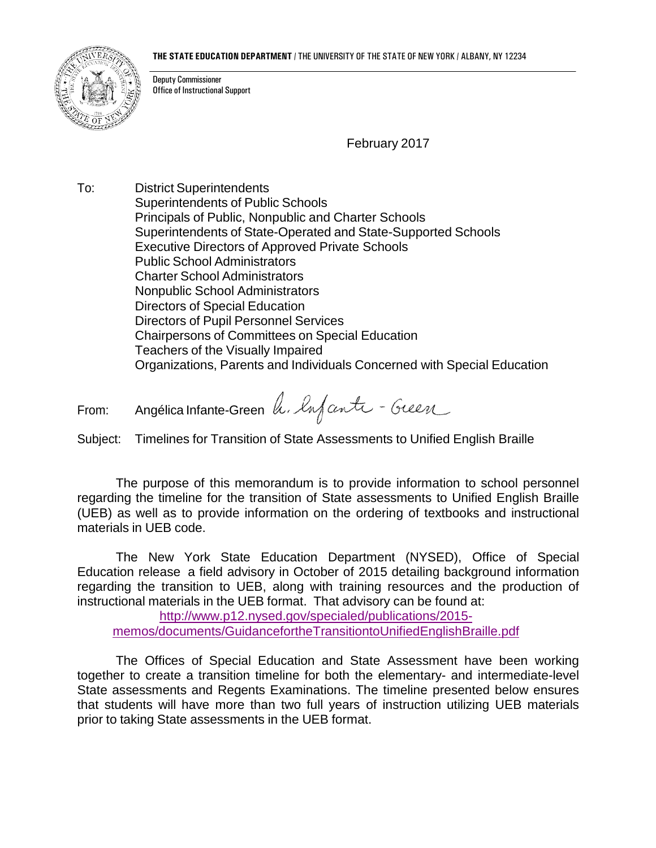## **THE STATE EDUCATION DEPARTMENT** / THE UNIVERSITY OF THE STATE OF NEW YORK / ALBANY, NY 12234



Deputy Commissioner Office of Instructional Support

February 2017

To: District Superintendents Superintendents of Public Schools Principals of Public, Nonpublic and Charter Schools Superintendents of State-Operated and State-Supported Schools Executive Directors of Approved Private Schools Public School Administrators Charter School Administrators Nonpublic School Administrators Directors of Special Education Directors of Pupil Personnel Services Chairpersons of Committees on Special Education Teachers of the Visually Impaired Organizations, Parents and Individuals Concerned with Special Education

From: Angélica Infante-Green h. lafanti - Green

Subject: Timelines for Transition of State Assessments to Unified English Braille

The purpose of this memorandum is to provide information to school personnel regarding the timeline for the transition of State assessments to Unified English Braille (UEB) as well as to provide information on the ordering of textbooks and instructional materials in UEB code.

The New York State Education Department (NYSED), Office of Special Education release a field advisory in October of 2015 detailing background information regarding the transition to UEB, along with training resources and the production of instructional materials in the UEB format. That advisory can be found at:

[http://www.p12.nysed.gov/specialed/publications/2015](http://www.p12.nysed.gov/specialed/publications/2015-memos/documents/GuidancefortheTransitiontoUnifiedEnglishBraille.pdf) [memos/documents/GuidancefortheTransitiontoUnifiedEnglishBraille.pdf](http://www.p12.nysed.gov/specialed/publications/2015-memos/documents/GuidancefortheTransitiontoUnifiedEnglishBraille.pdf)

The Offices of Special Education and State Assessment have been working together to create a transition timeline for both the elementary- and intermediate-level State assessments and Regents Examinations. The timeline presented below ensures that students will have more than two full years of instruction utilizing UEB materials prior to taking State assessments in the UEB format.